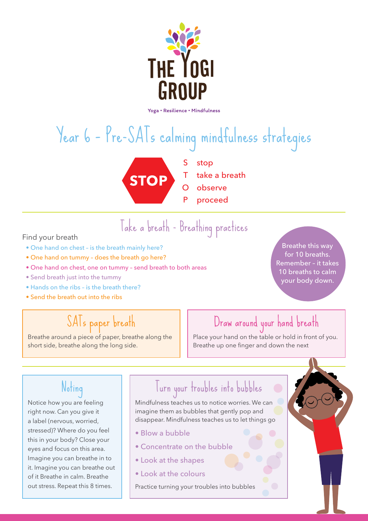

# Year 6 – Pre-SATs calming mindfulness strategies



- S T stop take a breath
- O observe
- P proceed

## Take a breath - Breathing practices Find your breath

- One hand on chest is the breath mainly here?
- One hand on tummy does the breath go here?
- One hand on chest, one on tummy send breath to both areas
- Send breath just into the tummy
- Hands on the ribs is the breath there?
- Send the breath out into the ribs

### SATs paper breath

Breathe around a piece of paper, breathe along the short side, breathe along the long side.

#### Breathe this way for 10 breaths. Remember – it takes 10 breaths to calm your body down.

#### Draw around your hand breath

Place your hand on the table or hold in front of you. Breathe up one finger and down the next

### Noting

Notice how you are feeling right now. Can you give it a label (nervous, worried, stressed)? Where do you feel this in your body? Close your eyes and focus on this area. Imagine you can breathe in to it. Imagine you can breathe out of it Breathe in calm. Breathe out stress. Repeat this 8 times.

## Turn your troubles into bubbles

Mindfulness teaches us to notice worries. We can imagine them as bubbles that gently pop and disappear. Mindfulness teaches us to let things go

- Blow a bubble
- Concentrate on the bubble
- Look at the shapes
- Look at the colours

Practice turning your troubles into bubbles